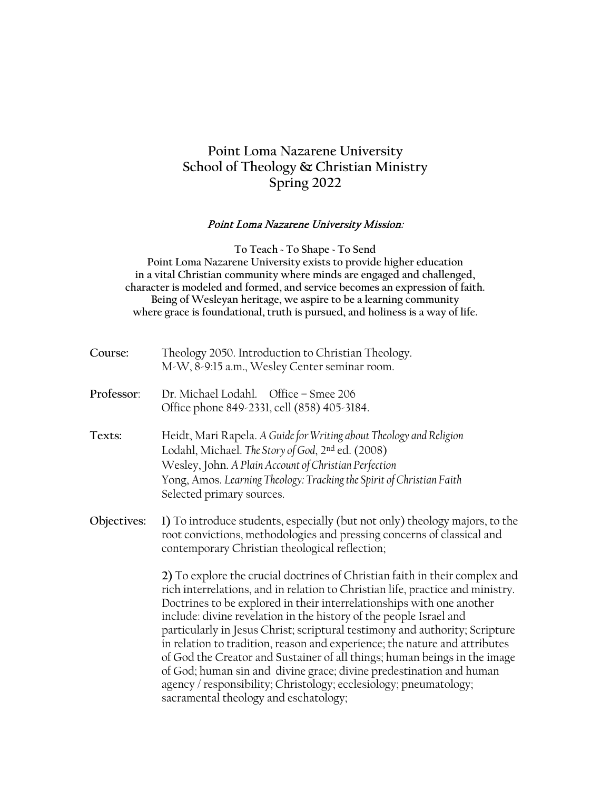# **Point Loma Nazarene University School of Theology & Christian Ministry Spring 2022**

#### Point Loma Nazarene University Mission:

**To Teach ~ To Shape ~ To Send Point Loma Nazarene University exists to provide higher education in a vital Christian community where minds are engaged and challenged, character is modeled and formed, and service becomes an expression of faith. Being of Wesleyan heritage, we aspire to be a learning community where grace is foundational, truth is pursued, and holiness is a way of life.**

| Course:     | Theology 2050. Introduction to Christian Theology.<br>M-W, 8-9:15 a.m., Wesley Center seminar room.                                                                                                                                                                                                                                                                                                                                                                                                                                                                                                                                                                                                                                         |
|-------------|---------------------------------------------------------------------------------------------------------------------------------------------------------------------------------------------------------------------------------------------------------------------------------------------------------------------------------------------------------------------------------------------------------------------------------------------------------------------------------------------------------------------------------------------------------------------------------------------------------------------------------------------------------------------------------------------------------------------------------------------|
| Professor:  | Dr. Michael Lodahl. Office - Smee 206<br>Office phone 849-2331, cell (858) 405-3184.                                                                                                                                                                                                                                                                                                                                                                                                                                                                                                                                                                                                                                                        |
| Texts:      | Heidt, Mari Rapela. A Guide for Writing about Theology and Religion<br>Lodahl, Michael. The Story of God, 2 <sup>nd</sup> ed. (2008)<br>Wesley, John. A Plain Account of Christian Perfection<br>Yong, Amos. Learning Theology: Tracking the Spirit of Christian Faith<br>Selected primary sources.                                                                                                                                                                                                                                                                                                                                                                                                                                         |
| Objectives: | 1) To introduce students, especially (but not only) theology majors, to the<br>root convictions, methodologies and pressing concerns of classical and<br>contemporary Christian theological reflection;                                                                                                                                                                                                                                                                                                                                                                                                                                                                                                                                     |
|             | 2) To explore the crucial doctrines of Christian faith in their complex and<br>rich interrelations, and in relation to Christian life, practice and ministry.<br>Doctrines to be explored in their interrelationships with one another<br>include: divine revelation in the history of the people Israel and<br>particularly in Jesus Christ; scriptural testimony and authority; Scripture<br>in relation to tradition, reason and experience; the nature and attributes<br>of God the Creator and Sustainer of all things; human beings in the image<br>of God; human sin and divine grace; divine predestination and human<br>agency / responsibility; Christology; ecclesiology; pneumatology;<br>sacramental theology and eschatology; |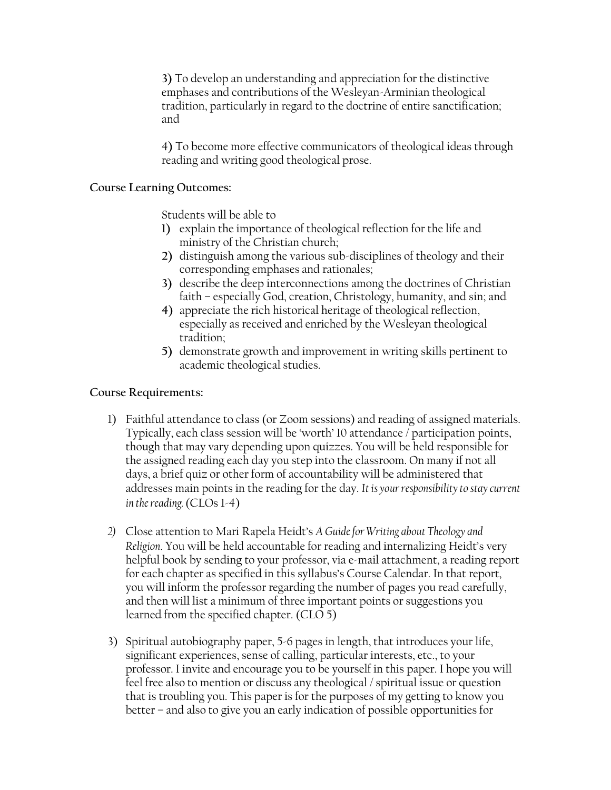**3)** To develop an understanding and appreciation for the distinctive emphases and contributions of the Wesleyan-Arminian theological tradition, particularly in regard to the doctrine of entire sanctification; and

4**)** To become more effective communicators of theological ideas through reading and writing good theological prose.

#### **Course Learning Outcomes:**

Students will be able to

- **1)** explain the importance of theological reflection for the life and ministry of the Christian church;
- **2)** distinguish among the various sub-disciplines of theology and their corresponding emphases and rationales;
- **3)** describe the deep interconnections among the doctrines of Christian faith – especially God, creation, Christology, humanity, and sin; and
- **4)** appreciate the rich historical heritage of theological reflection, especially as received and enriched by the Wesleyan theological tradition;
- **5)** demonstrate growth and improvement in writing skills pertinent to academic theological studies.

#### **Course Requirements:**

- 1) Faithful attendance to class (or Zoom sessions) and reading of assigned materials. Typically, each class session will be 'worth' 10 attendance / participation points, though that may vary depending upon quizzes. You will be held responsible for the assigned reading each day you step into the classroom. On many if not all days, a brief quiz or other form of accountability will be administered that addresses main points in the reading for the day. *It is your responsibility to stay current in the reading.*(CLOs 1-4)
- *2)* Close attention to Mari Rapela Heidt's *A Guide for Writing about Theology and Religion*. You will be held accountable for reading and internalizing Heidt's very helpful book by sending to your professor, via e-mail attachment, a reading report for each chapter as specified in this syllabus's Course Calendar. In that report, you will inform the professor regarding the number of pages you read carefully, and then will list a minimum of three important points or suggestions you learned from the specified chapter. (CLO 5)
- 3) Spiritual autobiography paper, 5-6 pages in length, that introduces your life, significant experiences, sense of calling, particular interests, etc., to your professor. I invite and encourage you to be yourself in this paper. I hope you will feel free also to mention or discuss any theological / spiritual issue or question that is troubling you. This paper is for the purposes of my getting to know you better – and also to give you an early indication of possible opportunities for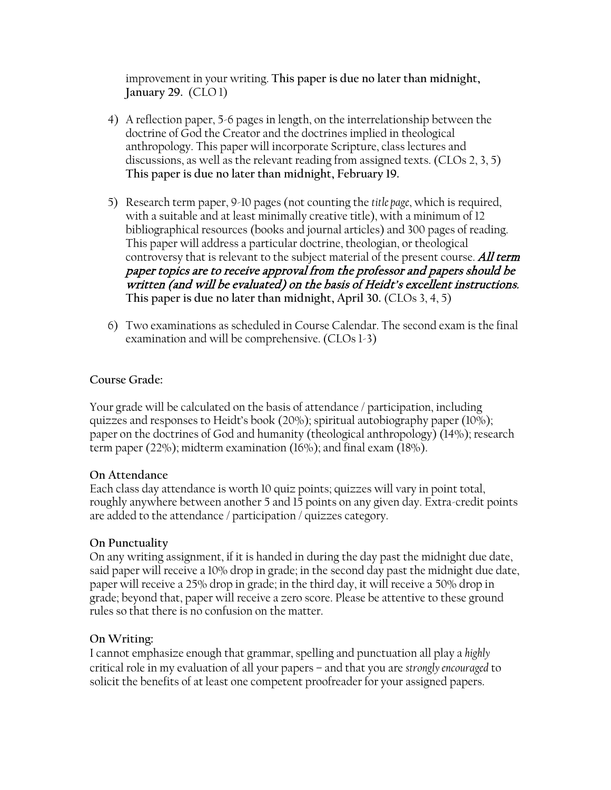improvement in your writing. **This paper is due no later than midnight, January 29.** (CLO 1)

- 4) A reflection paper, 5-6 pages in length, on the interrelationship between the doctrine of God the Creator and the doctrines implied in theological anthropology. This paper will incorporate Scripture, class lectures and discussions, as well as the relevant reading from assigned texts. (CLOs 2, 3, 5) **This paper is due no later than midnight, February 19.**
- 5) Research term paper, 9-10 pages (not counting the *title page*, which is required, with a suitable and at least minimally creative title), with a minimum of 12 bibliographical resources (books and journal articles) and 300 pages of reading. This paper will address a particular doctrine, theologian, or theological controversy that is relevant to the subject material of the present course. All term paper topics are to receive approval from the professor and papers should be written (and will be evaluated) on the basis of Heidt's excellent instructions. **This paper is due no later than midnight, April 30.** (CLOs 3, 4, 5)
- 6) Two examinations as scheduled in Course Calendar. The second exam is the final examination and will be comprehensive. (CLOs 1-3)

# **Course Grade:**

Your grade will be calculated on the basis of attendance / participation, including quizzes and responses to Heidt's book (20%); spiritual autobiography paper (10%); paper on the doctrines of God and humanity (theological anthropology) (14%); research term paper (22%); midterm examination (16%); and final exam (18%).

#### **On Attendance**

Each class day attendance is worth 10 quiz points; quizzes will vary in point total, roughly anywhere between another 5 and 15 points on any given day. Extra-credit points are added to the attendance / participation / quizzes category.

# **On Punctuality**

On any writing assignment, if it is handed in during the day past the midnight due date, said paper will receive a 10% drop in grade; in the second day past the midnight due date, paper will receive a 25% drop in grade; in the third day, it will receive a 50% drop in grade; beyond that, paper will receive a zero score. Please be attentive to these ground rules so that there is no confusion on the matter.

# **On Writing:**

I cannot emphasize enough that grammar, spelling and punctuation all play a *highly*  critical role in my evaluation of all your papers – and that you are *strongly encouraged* to solicit the benefits of at least one competent proofreader for your assigned papers.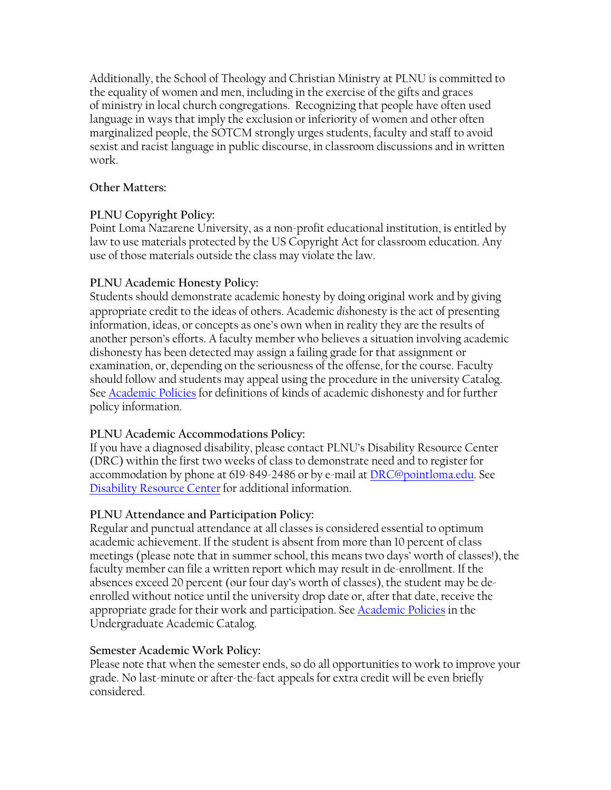Additionally, the School of Theology and Christian Ministry at PLNU is committed to the equality of women and men, including in the exercise of the gifts and graces of ministry in local church congregations. Recognizing that people have often used language in ways that imply the exclusion or inferiority of women and other often marginalized people, the SOTCM strongly urges students, faculty and staff to avoid sexist and racist language in public discourse, in classroom discussions and in written work.

### **Other Matters:**

# **PLNU Copyright Policy:**

Point Loma Nazarene University, as a non-profit educational institution, is entitled by law to use materials protected by the US Copyright Act for classroom education. Any use of those materials outside the class may violate the law.

### **PLNU Academic Honesty Policy:**

Students should demonstrate academic honesty by doing original work and by giving appropriate credit to the ideas of others. Academic *dis*honesty is the act of presenting information, ideas, or concepts as one's own when in reality they are the results of another person's efforts. A faculty member who believes a situation involving academic dishonesty has been detected may assign a failing grade for that assignment or examination, or, depending on the seriousness of the offense, for the course. Faculty should follow and students may appeal using the procedure in the university Catalog. See [Academic Policies](http://catalog.pointloma.edu/content.php?catoid=18&navoid=1278) for definitions of kinds of academic dishonesty and for further policy information.

# **PLNU Academic Accommodations Policy:**

If you have a diagnosed disability, please contact PLNU's Disability Resource Center (DRC) within the first two weeks of class to demonstrate need and to register for accommodation by phone at 619-849-2486 or by e-mail at [DRC@pointloma.edu.](mailto:DRC@pointloma.edu) See [Disability Resource Center](http://www.pointloma.edu/experience/offices/administrative-offices/academic-advising-office/disability-resource-center) for additional information.

#### **PLNU Attendance and Participation Policy:**

Regular and punctual attendance at all classes is considered essential to optimum academic achievement. If the student is absent from more than 10 percent of class meetings (please note that in summer school, this means two days' worth of classes!), the faculty member can file a written report which may result in de-enrollment. If the absences exceed 20 percent (our four day's worth of classes), the student may be deenrolled without notice until the university drop date or, after that date, receive the appropriate grade for their work and participation. See [Academic Policies](http://catalog.pointloma.edu/content.php?catoid=18&navoid=1278) in the Undergraduate Academic Catalog.

#### **Semester Academic Work Policy:**

Please note that when the semester ends, so do all opportunities to work to improve your grade. No last-minute or after-the-fact appeals for extra credit will be even briefly considered.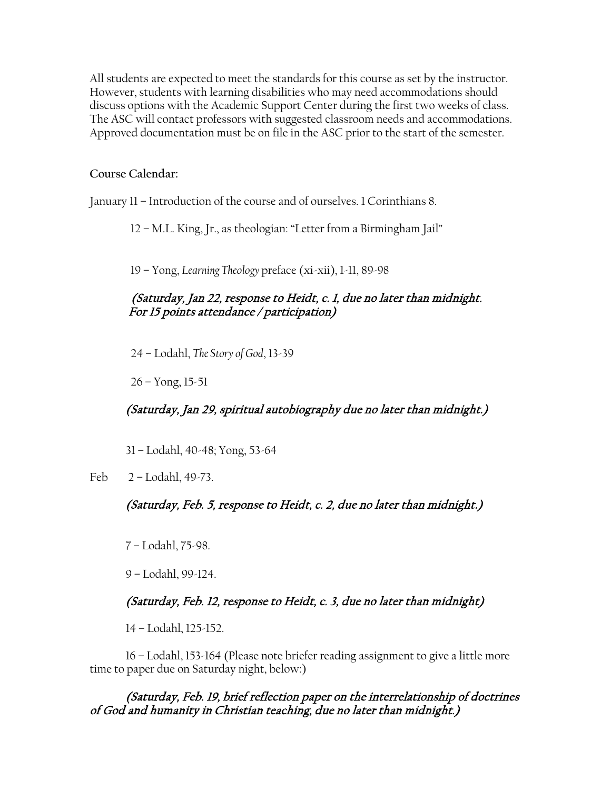All students are expected to meet the standards for this course as set by the instructor. However, students with learning disabilities who may need accommodations should discuss options with the Academic Support Center during the first two weeks of class. The ASC will contact professors with suggested classroom needs and accommodations. Approved documentation must be on file in the ASC prior to the start of the semester.

#### **Course Calendar:**

January 11 – Introduction of the course and of ourselves. 1 Corinthians 8.

12 – M.L. King, Jr., as theologian: "Letter from a Birmingham Jail"

19 – Yong, *Learning Theology* preface (xi-xii), 1-11, 89-98

# (Saturday, Jan 22, response to Heidt, c. 1, due no later than midnight. For 15 points attendance / participation)

24 – Lodahl, *The Story of God*, 13-39

 $26 -$ Yong,  $15-51$ 

(Saturday, Jan 29, spiritual autobiography due no later than midnight.)

31 – Lodahl, 40-48; Yong, 53-64

Feb 2 – Lodahl, 49-73.

# (Saturday, Feb. 5, response to Heidt, c. 2, due no later than midnight.)

7 – Lodahl, 75-98.

9 – Lodahl, 99-124.

# (Saturday, Feb. 12, response to Heidt, c. 3, due no later than midnight)

14 – Lodahl, 125-152.

16 – Lodahl, 153-164 (Please note briefer reading assignment to give a little more time to paper due on Saturday night, below:)

(Saturday, Feb. 19, brief reflection paper on the interrelationship of doctrines of God and humanity in Christian teaching, due no later than midnight.)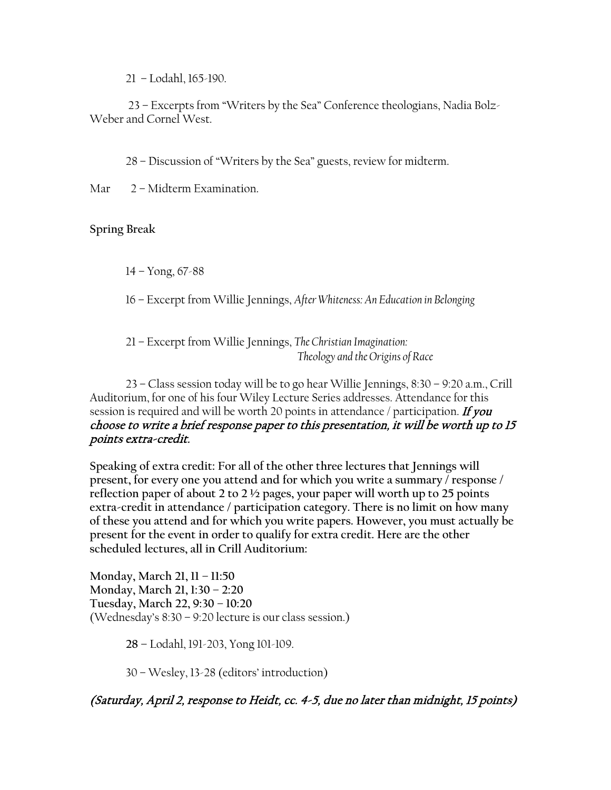21 – Lodahl, 165-190.

23 – Excerpts from "Writers by the Sea" Conference theologians, Nadia Bolz-Weber and Cornel West.

28 – Discussion of "Writers by the Sea" guests, review for midterm.

Mar 2 – Midterm Examination.

# **Spring Break**

 $14 -$ Yong, 67-88

16 – Excerpt from Willie Jennings, *After Whiteness: An Education in Belonging*

21 – Excerpt from Willie Jennings, *The Christian Imagination: Theology and the Origins of Race*

23 – Class session today will be to go hear Willie Jennings, 8:30 – 9:20 a.m., Crill Auditorium, for one of his four Wiley Lecture Series addresses. Attendance for this session is required and will be worth 20 points in attendance / participation. If you choose to write a brief response paper to this presentation, it will be worth up to 15 points extra-credit.

**Speaking of extra credit: For all of the other three lectures that Jennings will present, for every one you attend and for which you write a summary / response / reflection paper of about 2 to 2 ½ pages, your paper will worth up to 25 points extra-credit in attendance / participation category. There is no limit on how many of these you attend and for which you write papers. However, you must actually be present for the event in order to qualify for extra credit. Here are the other scheduled lectures, all in Crill Auditorium:**

**Monday, March 21, 11 – 11:50 Monday, March 21, 1:30 – 2:20 Tuesday, March 22, 9:30 – 10:20** (Wednesday's 8:30 – 9:20 lecture is our class session.)

**28 –** Lodahl, 191-203, Yong 101-109.

30 – Wesley, 13-28 (editors' introduction)

(Saturday, April 2, response to Heidt, cc. 4-5, due no later than midnight, 15 points)